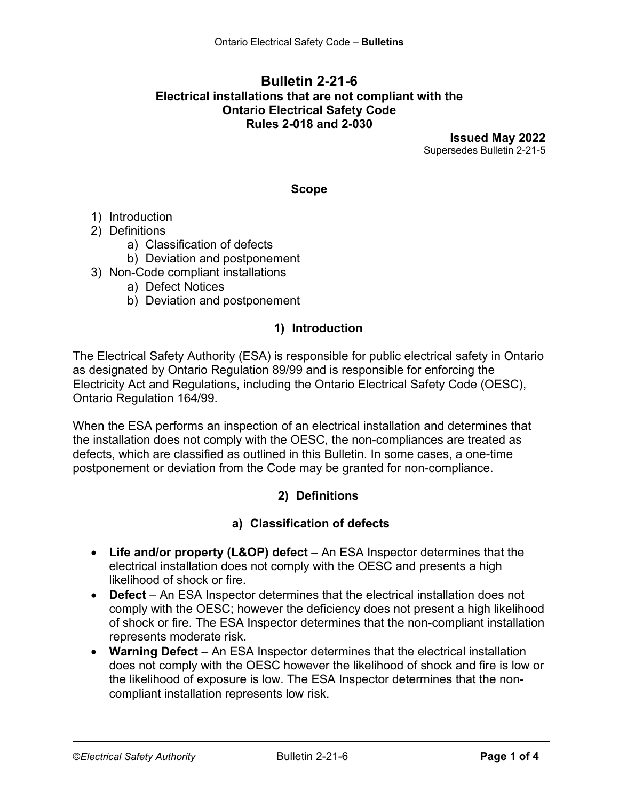## **Bulletin 2-21-6 Electrical installations that are not compliant with the Ontario Electrical Safety Code Rules 2-018 and 2-030**

**Issued May 2022** Supersedes Bulletin 2-21-5

#### **Scope**

- 1) Introduction
- 2) Definitions
	- a) Classification of defects
	- b) Deviation and postponement
- 3) Non-Code compliant installations
	- a) Defect Notices
	- b) Deviation and postponement

### **1) Introduction**

The Electrical Safety Authority (ESA) is responsible for public electrical safety in Ontario as designated by Ontario Regulation 89/99 and is responsible for enforcing the Electricity Act and Regulations, including the Ontario Electrical Safety Code (OESC), Ontario Regulation 164/99.

When the ESA performs an inspection of an electrical installation and determines that the installation does not comply with the OESC, the non-compliances are treated as defects, which are classified as outlined in this Bulletin. In some cases, a one-time postponement or deviation from the Code may be granted for non-compliance.

### **2) Definitions**

### **a) Classification of defects**

- **Life and/or property (L&OP) defect** An ESA Inspector determines that the electrical installation does not comply with the OESC and presents a high likelihood of shock or fire.
- **Defect** An ESA Inspector determines that the electrical installation does not comply with the OESC; however the deficiency does not present a high likelihood of shock or fire. The ESA Inspector determines that the non-compliant installation represents moderate risk.
- **Warning Defect** An ESA Inspector determines that the electrical installation does not comply with the OESC however the likelihood of shock and fire is low or the likelihood of exposure is low. The ESA Inspector determines that the noncompliant installation represents low risk.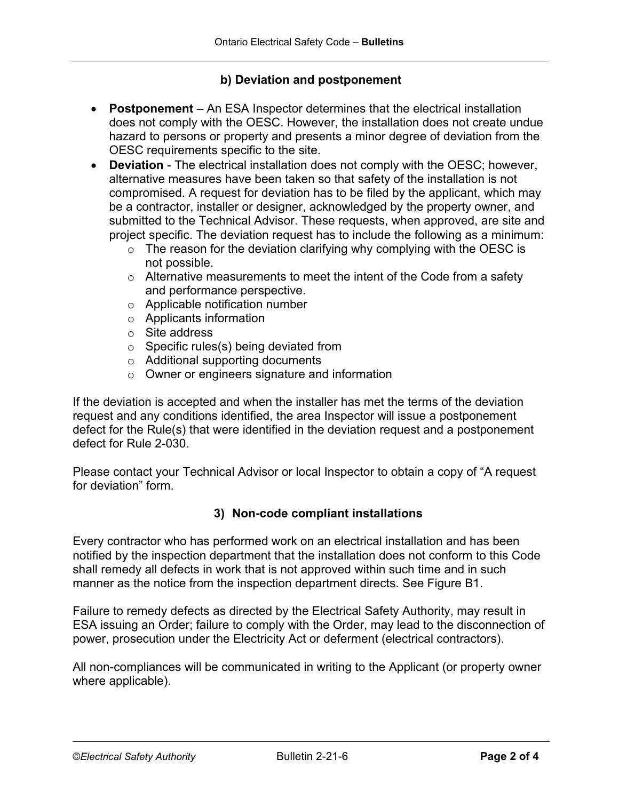### **b) Deviation and postponement**

- **Postponement** An ESA Inspector determines that the electrical installation does not comply with the OESC. However, the installation does not create undue hazard to persons or property and presents a minor degree of deviation from the OESC requirements specific to the site.
- **Deviation** The electrical installation does not comply with the OESC; however, alternative measures have been taken so that safety of the installation is not compromised. A request for deviation has to be filed by the applicant, which may be a contractor, installer or designer, acknowledged by the property owner, and submitted to the Technical Advisor. These requests, when approved, are site and project specific. The deviation request has to include the following as a minimum:
	- $\circ$  The reason for the deviation clarifying why complying with the OESC is not possible.
	- $\circ$  Alternative measurements to meet the intent of the Code from a safety and performance perspective.
	- o Applicable notification number
	- o Applicants information
	- o Site address
	- o Specific rules(s) being deviated from
	- o Additional supporting documents
	- o Owner or engineers signature and information

If the deviation is accepted and when the installer has met the terms of the deviation request and any conditions identified, the area Inspector will issue a postponement defect for the Rule(s) that were identified in the deviation request and a postponement defect for Rule 2-030.

Please contact your Technical Advisor or local Inspector to obtain a copy of "A request for deviation" form.

### **3) Non-code compliant installations**

Every contractor who has performed work on an electrical installation and has been notified by the inspection department that the installation does not conform to this Code shall remedy all defects in work that is not approved within such time and in such manner as the notice from the inspection department directs. See Figure B1.

Failure to remedy defects as directed by the Electrical Safety Authority, may result in ESA issuing an Order; failure to comply with the Order, may lead to the disconnection of power, prosecution under the Electricity Act or deferment (electrical contractors).

All non-compliances will be communicated in writing to the Applicant (or property owner where applicable).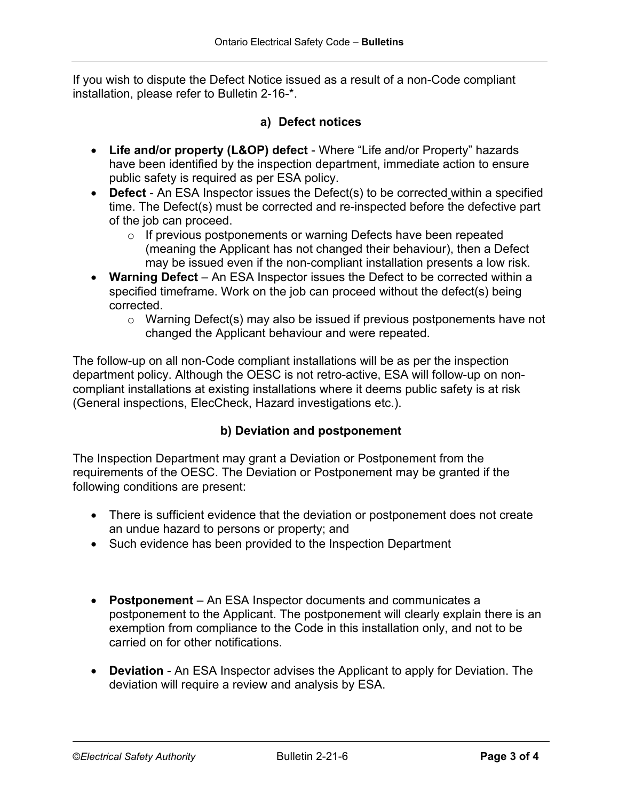If you wish to dispute the Defect Notice issued as a result of a non-Code compliant installation, please refer to Bulletin 2-16-\*.

## **a) Defect notices**

- **Life and/or property (L&OP) defect** Where "Life and/or Property" hazards have been identified by the inspection department, immediate action to ensure public safety is required as per ESA policy.
- **Defect** An ESA Inspector issues the Defect(s) to be corrected within a specified time. The Defect(s) must be corrected and re-inspected before the defective part of the job can proceed.
	- o If previous postponements or warning Defects have been repeated (meaning the Applicant has not changed their behaviour), then a Defect may be issued even if the non-compliant installation presents a low risk.
- **Warning Defect** An ESA Inspector issues the Defect to be corrected within a specified timeframe. Work on the job can proceed without the defect(s) being corrected.
	- o Warning Defect(s) may also be issued if previous postponements have not changed the Applicant behaviour and were repeated.

The follow-up on all non-Code compliant installations will be as per the inspection department policy. Although the OESC is not retro-active, ESA will follow-up on noncompliant installations at existing installations where it deems public safety is at risk (General inspections, ElecCheck, Hazard investigations etc.).

# **b) Deviation and postponement**

The Inspection Department may grant a Deviation or Postponement from the requirements of the OESC. The Deviation or Postponement may be granted if the following conditions are present:

- There is sufficient evidence that the deviation or postponement does not create an undue hazard to persons or property; and
- Such evidence has been provided to the Inspection Department
- **Postponement** An ESA Inspector documents and communicates a postponement to the Applicant. The postponement will clearly explain there is an exemption from compliance to the Code in this installation only, and not to be carried on for other notifications.
- **Deviation** An ESA Inspector advises the Applicant to apply for Deviation. The deviation will require a review and analysis by ESA.